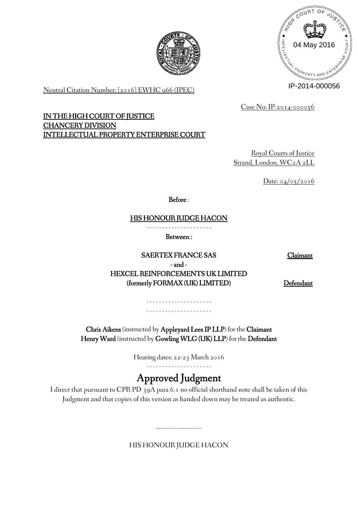



Neutral Citation Number: [2016] EWHC 966 (IPEC)

Case No: IP-2014-000056

**IN THE HIGH COURT OF JUSTICE CHANCERY DIVISION INTELLECTUAL PROPERTY ENTERPRISE COURT**

> Royal Courts of Justice Strand, London, WC2A 2LL

> > Date: 04/05/2016

**Before** :

**HIS HONOUR JUDGE HACON**

- - - - - - - - - - - - - - - - - - - - -

**Between :**

**SAERTEX FRANCE SAS Claimant - and - HEXCEL REINFORCEMENTS UK LIMITED** (formerly FORMAX (UK) LIMITED) Defendant

- - - - - - - - - - - - - - - - - - - - - - - - - - - - - - - - - - - - - - - - - -

**Chris Aikens** (instructed by **Appleyard Lees IP LLP**) for the **Claimant Henry Ward** (instructed by **Gowling WLG (UK) LLP**) for the **Defendant**

Hearing dates: 22-23 March 2016

**Approved Judgment**

I direct that pursuant to CPR PD 39A para 6.1 no official shorthand note shall be taken of this Judgment and that copies of this version as handed down may be treated as authentic.

HIS HONOUR JUDGE HACON

.............................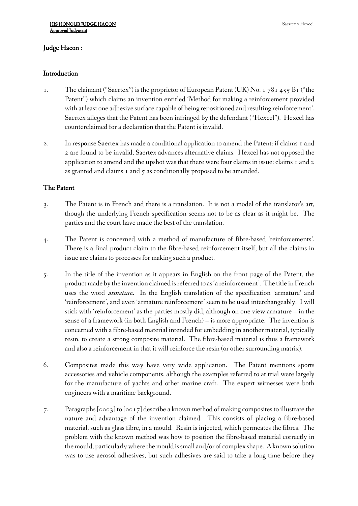# **Judge Hacon :**

# **Introduction**

- 1. The claimant ("Saertex") is the proprietor of European Patent (UK) No. 1 78  $_1$  455 B<sub>1</sub> ("the Patent") which claims an invention entitled 'Method for making a reinforcement provided with at least one adhesive surface capable of being repositioned and resulting reinforcement'. Saertex alleges that the Patent has been infringed by the defendant ("Hexcel"). Hexcel has counterclaimed for a declaration that the Patent is invalid.
- 2. In response Saertex has made a conditional application to amend the Patent: if claims 1 and 2 are found to be invalid, Saertex advances alternative claims. Hexcel has not opposed the application to amend and the upshot was that there were four claims in issue: claims 1 and 2 as granted and claims 1 and 5 as conditionally proposed to be amended.

# **The Patent**

- 3. The Patent is in French and there is a translation. It is not a model of the translator's art, though the underlying French specification seems not to be as clear as it might be. The parties and the court have made the best of the translation.
- 4. The Patent is concerned with a method of manufacture of fibre-based 'reinforcements'. There is a final product claim to the fibre-based reinforcement itself, but all the claims in issue are claims to processes for making such a product.
- 5. In the title of the invention as it appears in English on the front page of the Patent, the product made by the invention claimed isreferred to as'a reinforcement'. The title in French uses the word *armature*. In the English translation of the specification 'armature' and 'reinforcement', and even 'armature reinforcement' seem to be used interchangeably. I will stick with 'reinforcement' as the parties mostly did, although on one view armature – in the sense of a framework (in both English and French) – is more appropriate. The invention is concerned with a fibre-based material intended for embedding in another material, typically resin, to create a strong composite material. The fibre-based material is thus a framework and also a reinforcement in that it will reinforce the resin (or other surrounding matrix).
- 6. Composites made this way have very wide application. The Patent mentions sports accessories and vehicle components, although the examples referred to at trial were largely for the manufacture of yachts and other marine craft. The expert witnesses were both engineers with a maritime background.
- 7. Paragraphs [0003] to [0017] describe a known method of making composites to illustrate the nature and advantage of the invention claimed. This consists of placing a fibre-based material, such as glass fibre, in a mould. Resin is injected, which permeates the fibres. The problem with the known method was how to position the fibre-based material correctly in the mould, particularlywhere the mould issmall and/or of complex shape. Aknown solution was to use aerosol adhesives, but such adhesives are said to take a long time before they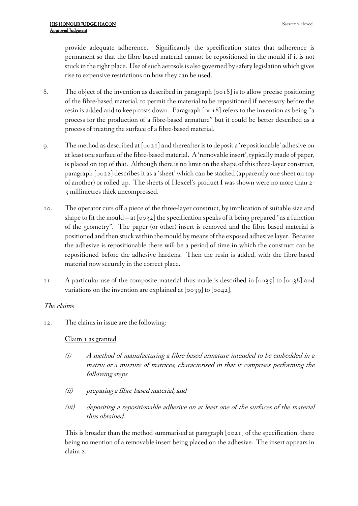provide adequate adherence. Significantly the specification states that adherence is permanent so that the fibre-based material cannot be repositioned in the mould if it is not stuck in the right place. Use of such aerosols is also governed by safety legislation which gives rise to expensive restrictions on how they can be used.

- 8. The object of the invention as described in paragraph [0018] is to allow precise positioning of the fibre-based material, to permit the material to be repositioned if necessary before the resin is added and to keep costs down. Paragraph [0018] refers to the invention as being "a process for the production of a fibre-based armature" but it could be better described as a process of treating the surface of a fibre-based material.
- 9. The method as described at [0021] and thereafter is to deposit a 'repositionable' adhesive on at least one surface of the fibre-based material. A'removable insert', typically made of paper, is placed on top of that. Although there is no limit on the shape of this three-layer construct, paragraph [0022] describes it as a 'sheet' which can be stacked (apparently one sheet on top of another) or rolled up. The sheets of Hexcel's product I was shown were no more than 2- 3 millimetres thick uncompressed.
- 10. The operator cuts off a piece of the three-layer construct, by implication of suitable size and shape to fit the mould – at  $[0.032]$  the specification speaks of it being prepared "as a function of the geometry". The paper (or other) insert is removed and the fibre-based material is positioned and then stuckwithin the mould by means of the exposed adhesive layer. Because the adhesive is repositionable there will be a period of time in which the construct can be repositioned before the adhesive hardens. Then the resin is added, with the fibre-based material now securely in the correct place.
- 11. A particular use of the composite material thus made is described in [0035] to [0038] and variations on the invention are explained at  $[0.039]$  to  $[0.042]$ .

# *The claims*

12. The claims in issue are the following:

#### Claim 1 as granted

- *(i) A method of manufacturing <sup>a</sup> fibre-based armature intended to be embedded in <sup>a</sup> matrix or <sup>a</sup> mixture of matrices, characterised in that it comprises performing the following steps*
- *(ii) preparing <sup>a</sup> fibre-based material, and*
- *(iii) depositing <sup>a</sup> repositionable adhesive on at least one of the surfaces of the material thus obtained.*

This is broader than the method summarised at paragraph [0021] of the specification, there being no mention of a removable insert being placed on the adhesive. The insert appears in claim 2.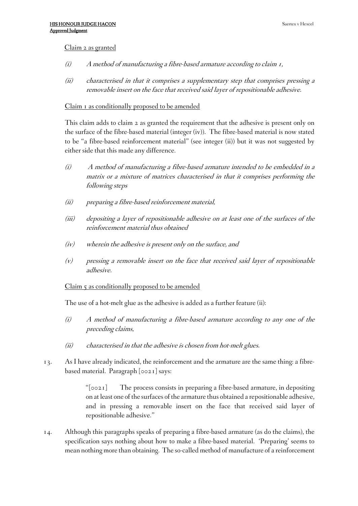### Claim 2 as granted

- *(i) A method of manufacturing <sup>a</sup> fibre-based armature according to claim 1,*
- *(ii) characterised in that it comprises <sup>a</sup> supplementary step that comprises pressing <sup>a</sup> removable insert on the face that received said layer of repositionable adhesive.*

### Claim I as conditionally proposed to be amended

This claim adds to claim 2 as granted the requirement that the adhesive is present only on the surface of the fibre-based material (integer (iv)). The fibre-based material is now stated to be "a fibre-based reinforcement material" (see integer (ii)) but it was not suggested by either side that this made any difference.

- *(i) A method of manufacturing <sup>a</sup> fibre-based armature intended to be embedded in <sup>a</sup> matrix or <sup>a</sup> mixture of matrices characterised in that it comprises performing the following steps*
- *(ii) preparing <sup>a</sup> fibre-based reinforcement material,*
- *(iii) depositing <sup>a</sup> layer of repositionable adhesive on at least one of the surfaces of the reinforcement material thus obtained*
- *(iv) wherein the adhesive is present only on the surface, and*
- *(v) pressing <sup>a</sup> removable insert on the face that received said layer of repositionable adhesive.*

#### Claim 5 as conditionally proposed to be amended

The use of a hot-melt glue as the adhesive is added as a further feature (ii):

- *(i) A method of manufacturing <sup>a</sup> fibre-based armature according to any one of the preceding claims,*
- *(ii) characterised in that the adhesive is chosen from hot-melt glues.*
- 13. As I have already indicated, the reinforcement and the armature are the same thing: a fibrebased material. Paragraph [0021] says:

"[0021] The process consists in preparing a fibre-based armature, in depositing on at least one of the surfaces of the armature thus obtained a repositionable adhesive, and in pressing a removable insert on the face that received said layer of repositionable adhesive."

14. Although this paragraphs speaks of preparing a fibre-based armature (as do the claims), the specification says nothing about how to make a fibre-based material. 'Preparing' seems to mean nothing more than obtaining. The so-called method of manufacture of a reinforcement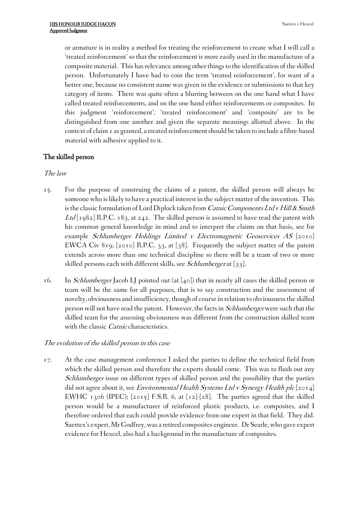or armature is in reality a method for treating the reinforcement to create what I will call a 'treated reinforcement' so that the reinforcement is more easily used in the manufacture of a composite material. This has relevance among other things to the identification of the skilled person. Unfortunately I have had to coin the term 'treated reinforcement', for want of a better one, because no consistent name was given in the evidence or submissions to that key category of items. There was quite often a blurring between on the one hand what I have called treated reinforcements, and on the one hand either reinforcements or composites. In this judgment 'reinforcement', 'treated reinforcement' and 'composite' are to be distinguished from one another and given the separate meanings allotted above. In the context of claim 1 as granted, a treated reinforcementshould be taken to include a fibre-based material with adhesive applied to it.

# **The skilled person**

# *The law*

- 15. For the purpose of construing the claims of a patent, the skilled person will always be someone who is likely to have a practical interest in the subject matter of the invention. This isthe classic formulation of Lord Diplock taken from *Catnic ComponentsLtd vHill&Smith* Ltd[1982] R.P.C. 183, at 242. The skilled person is assumed to have read the patent with his common general knowledge in mind and to interpret the claims on that basis, see for example *Schlumberger Holdings Limited <sup>v</sup> Electromagnetic Geoservices AS* [2010] EWCA Civ 819; [2010] R.P.C. 33, at [38]. Frequently the subject matter of the patent extends across more than one technical discipline so there will be a team of two or more skilled persons each with different skills, see *Schlumberger* at [33].
- 16. In *Schlumberger* Jacob LJ pointed out (at [40]) that in nearly all cases the skilled person or team will be the same for all purposes, that is to say construction and the assessment of novelty, obviousness and insufficiency, though of course in relation to obviousnessthe skilled personwill not have read the patent. However, the facts in *Schlumberger*were such that the skilled team for the assessing obviousness was different from the construction skilled team with the classic *Catnic* characteristics.

# *The evolution of the skilled person in this case*

17. At the case management conference I asked the parties to define the technical field from which the skilled person and therefore the experts should come. This was to flush out any *Schlumberger* issue on different types of skilled person and the possibility that the parties did not agree about it, see *Environmental Health Systems Ltd <sup>v</sup> Synergy Health plc* [2014] EWHC 1306 (IPEC); [2015] F.S.R. 6, at [12]-[28]. The parties agreed that the skilled person would be a manufacturer of reinforced plastic products, i.e. composites, and I therefore ordered that each could provide evidence from one expert in that field. They did. Saertex's expert, Mr Godfrey, was a retired composites engineer. Dr Searle, who gave expert evidence for Hexcel, also had a background in the manufacture of composites.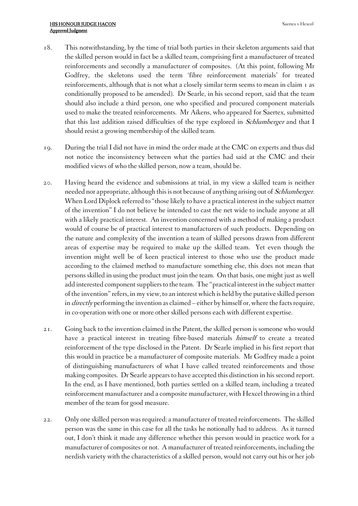- 18. This notwithstanding, by the time of trial both parties in their skeleton arguments said that the skilled person would in fact be a skilled team, comprising first a manufacturer of treated reinforcements and secondly a manufacturer of composites. (At this point, following Mr Godfrey, the skeletons used the term 'fibre reinforcement materials' for treated reinforcements, although that is not what a closely similar term seems to mean in claim 1 as conditionally proposed to be amended). Dr Searle, in his second report, said that the team should also include a third person, one who specified and procured component materials used to make the treated reinforcements. Mr Aikens, who appeared for Saertex, submitted that this last addition raised difficulties of the type explored in *Schlumberger* and that I should resist a growing membership of the skilled team.
- 19. During the trial I did not have in mind the order made at the CMC on experts and thus did not notice the inconsistency between what the parties had said at the CMC and their modified views of who the skilled person, now a team, should be.
- 20. Having heard the evidence and submissions at trial, in my view a skilled team is neither needed nor appropriate, although thisis not because of anything arising out of *Schlumberger*. When Lord Diplock referred to "those likely to have a practical interest in the subject matter of the invention" I do not believe he intended to cast the net wide to include anyone at all with a likely practical interest. An invention concerned with a method of making a product would of course be of practical interest to manufacturers of such products. Depending on the nature and complexity of the invention a team of skilled persons drawn from different areas of expertise may be required to make up the skilled team. Yet even though the invention might well be of keen practical interest to those who use the product made according to the claimed method to manufacture something else, this does not mean that persons skilled in using the product must join the team. On that basis, one might just as well add interested component suppliers to the team. The "practical interest in the subject matter of the invention"refers, in my view, to an interestwhich is held by the putative skilled person in *directly* performing the invention as claimed – either by himself or, where the facts require, in co-operation with one or more other skilled persons each with different expertise.
- 21. Going back to the invention claimed in the Patent, the skilled person is someone who would have a practical interest in treating fibre-based materials *himself* to create a treated reinforcement of the type disclosed in the Patent. Dr Searle implied in his first report that this would in practice be a manufacturer of composite materials. Mr Godfrey made a point of distinguishing manufacturers of what I have called treated reinforcements and those making composites. Dr Searle appears to have accepted this distinction in his second report. In the end, as I have mentioned, both parties settled on a skilled team, including a treated reinforcement manufacturer and a composite manufacturer, with Hexcel throwing in a third member of the team for good measure.
- 22. Only one skilled personwas required: a manufacturer of treated reinforcements. The skilled person was the same in this case for all the tasks he notionally had to address. As it turned out, I don't think it made any difference whether this person would in practice work for a manufacturer of composites or not. A manufacturer of treated reinforcements, including the nerdish variety with the characteristics of a skilled person, would not carry out his or her job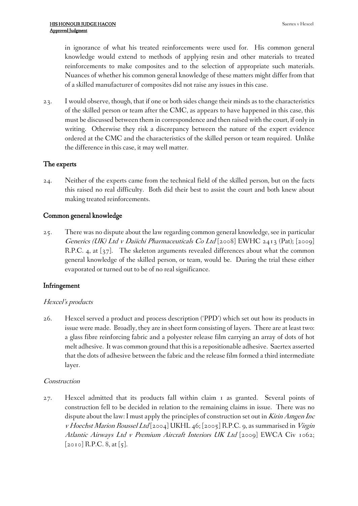in ignorance of what his treated reinforcements were used for. His common general knowledge would extend to methods of applying resin and other materials to treated reinforcements to make composites and to the selection of appropriate such materials. Nuances of whether his common general knowledge of these matters might differ from that of a skilled manufacturer of composites did not raise any issues in this case.

23. I would observe, though, that if one or both sides change their minds as to the characteristics of the skilled person or team after the CMC, as appears to have happened in this case, this must be discussed between them in correspondence and then raised with the court, if only in writing. Otherwise they risk a discrepancy between the nature of the expert evidence ordered at the CMC and the characteristics of the skilled person or team required. Unlike the difference in this case, it may well matter.

# **The experts**

24. Neither of the experts came from the technical field of the skilled person, but on the facts this raised no real difficulty. Both did their best to assist the court and both knew about making treated reinforcements.

# **Common general knowledge**

25. There was no dispute about the law regarding common general knowledge, see in particular *Generics (UK) Ltd <sup>v</sup> Daiichi Pharmaceuticals Co Ltd* [2008] EWHC 2413 (Pat); [2009] R.P.C. 4, at [37]. The skeleton arguments revealed differences about what the common general knowledge of the skilled person, or team, would be. During the trial these either evaporated or turned out to be of no real significance.

# **Infringement**

# *Hexcel's products*

26. Hexcel served a product and process description ('PPD') which set out how its products in issue were made. Broadly, they are in sheet form consisting of layers. There are at least two: a glass fibre reinforcing fabric and a polyester release film carrying an array of dots of hot melt adhesive. Itwas common ground that this is a repositionable adhesive. Saertex asserted that the dots of adhesive between the fabric and the release film formed a third intermediate layer.

# *Construction*

27. Hexcel admitted that its products fall within claim 1 as granted. Several points of construction fell to be decided in relation to the remaining claims in issue. There was no dispute about the law: I must apply the principles of construction set out in *KirinAmgen Inc <sup>v</sup> Hoechst Marion Roussel Ltd* [2004] UKHL 46; [2005] R.P.C. 9, as summarised in *Virgin Atlantic Airways Ltd <sup>v</sup> Premium Aircraft Interiors UK Ltd* [2009] EWCA Civ 1062; [2010] R.P.C. 8, at [5].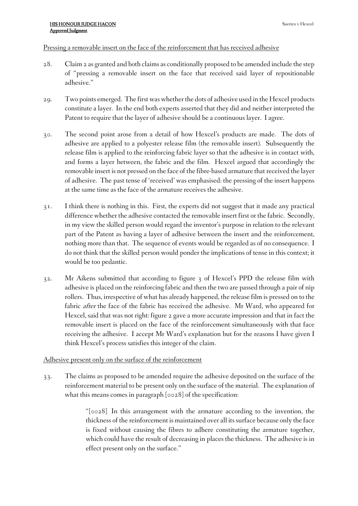### Pressing a removable insert on the face of the reinforcement that has received adhesive

- 28. Claim 2 as granted and both claims as conditionally proposed to be amended include the step of "pressing a removable insert on the face that received said layer of repositionable adhesive."
- 29. Two points emerged. The first was whether the dots of adhesive used in the Hexcel products constitute a layer. In the end both experts asserted that they did and neither interpreted the Patent to require that the layer of adhesive should be a continuous layer. I agree.
- 30. The second point arose from a detail of how Hexcel's products are made. The dots of adhesive are applied to a polyester release film (the removable insert). Subsequently the release film is applied to the reinforcing fabric layer so that the adhesive is in contact with, and forms a layer between, the fabric and the film. Hexcel argued that accordingly the removable insert is not pressed on the face of the fibre-based armature that received the layer of adhesive. The past tense of 'received' was emphasised: the pressing of the insert happens at the same time as the face of the armature receives the adhesive.
- 31. I think there is nothing in this. First, the experts did not suggest that it made any practical difference whether the adhesive contacted the removable insert first or the fabric. Secondly, in my view the skilled person would regard the inventor's purpose in relation to the relevant part of the Patent as having a layer of adhesive between the insert and the reinforcement, nothing more than that. The sequence of events would be regarded as of no consequence. I do not think that the skilled person would ponder the implications of tense in this context; it would be too pedantic.
- 32. Mr Aikens submitted that according to figure 3 of Hexcel's PPD the release film with adhesive is placed on the reinforcing fabric and then the two are passed through a pair of nip rollers. Thus, irrespective of what has already happened, the release film is pressed on to the fabric *after* the face of the fabric has received the adhesive. Mr Ward, who appeared for Hexcel, said that was not right: figure 2 gave a more accurate impression and that in fact the removable insert is placed on the face of the reinforcement simultaneously with that face receiving the adhesive. I accept Mr Ward's explanation but for the reasons I have given I think Hexcel's process satisfies this integer of the claim.

# Adhesive present only on the surface of the reinforcement

33. The claims as proposed to be amended require the adhesive deposited on the surface of the reinforcement material to be present only on the surface of the material. The explanation of what this means comes in paragraph [0028] of the specification:

> "[0028] In this arrangement with the armature according to the invention, the thickness of the reinforcement is maintained over all its surface because only the face is fixed without causing the fibres to adhere constituting the armature together, which could have the result of decreasing in places the thickness. The adhesive is in effect present only on the surface."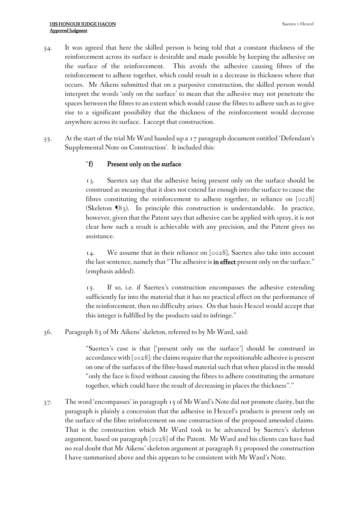- 34. It was agreed that here the skilled person is being told that a constant thickness of the reinforcement across its surface is desirable and made possible by keeping the adhesive on the surface of the reinforcement. This avoids the adhesive causing fibres of the reinforcement to adhere together, which could result in a decrease in thickness where that occurs. Mr Aikens submitted that on a purposive construction, the skilled person would interpret the words 'only on the surface' to mean that the adhesive may not penetrate the spaces between the fibres to an extent which would cause the fibres to adhere such as to give rise to a significant possibility that the thickness of the reinforcement would decrease anywhere across its surface. I accept that construction.
- 35. At the start of the trial Mr Ward handed up a 17 paragraph document entitled 'Defendant's Supplemental Note on Construction'. It included this:

# "**f) Present only on the surface**

13. Saertex say that the adhesive being present only on the surface should be construed as meaning that it does not extend far enough into the surface to cause the fibres constituting the reinforcement to adhere together, in reliance on [0028] (Skeleton ¶83). In principle this construction is understandable. In practice, however, given that the Patent says that adhesive can be applied with spray, it is not clear how such a result is achievable with any precision, and the Patent gives no assistance.

14. We assume that in their reliance on [0028], Saertex also take into account the last sentence, namely that"The adhesive is **in effect** present only on the surface." (emphasis added).

15. If so, i.e. if Saertex's construction encompasses the adhesive extending sufficiently far into the material that it has no practical effect on the performance of the reinforcement, then no difficulty arises. On that basis Hexcel would accept that this integer is fulfilled by the products said to infringe."

36. Paragraph 83 of Mr Aikens' skeleton, referred to by Mr Ward, said:

"Saertex's case is that ['present only on the surface'] should be construed in accordance with [0028]: the claims require that the repositionable adhesive is present on one of the surfaces of the fibre-based material such that when placed in the mould "only the face is fixed without causing the fibres to adhere constituting the armature together, which could have the result of decreasing in places the thickness"."

37. Theword 'encompasses' in paragraph 15 of Mr Ward's Note did not promote clarity, but the paragraph is plainly a concession that the adhesive in Hexcel's products is present only on the surface of the fibre reinforcement on one construction of the proposed amended claims. That is the construction which Mr Ward took to be advanced by Saertex's skeleton argument, based on paragraph [0028] of the Patent. Mr Ward and his clients can have had no real doubt that Mr Aikens' skeleton argument at paragraph 83 proposed the construction I have summarised above and this appears to be consistent with Mr Ward's Note.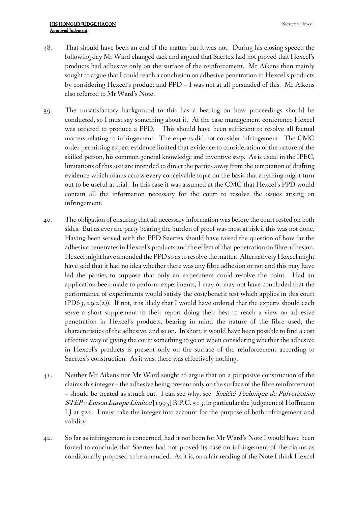- 38. That should have been an end of the matter but it was not. During his closing speech the following day Mr Ward changed tack and argued that Saertex had not proved that Hexcel's products had adhesive only on the surface of the reinforcement. Mr Aikens then mainly sought to argue that I could reach a conclusion on adhesive penetration in Hexcel's products by considering Hexcel's product and PPD – I was not at all persuaded of this. Mr Aikens also referred to Mr Ward's Note.
- 39. The unsatisfactory background to this has a bearing on how proceedings should be conducted, so I must say something about it. At the case management conference Hexcel was ordered to produce a PPD. This should have been sufficient to resolve all factual matters relating to infringement. The experts did not consider infringement. The CMC order permitting expert evidence limited that evidence to consideration of the nature of the skilled person, his common general knowledge and inventive step. As is usual in the IPEC, limitations of this sort are intended to direct the parties away from the temptation of drafting evidence which roams across every conceivable topic on the basis that anything might turn out to be useful at trial. In this case it was assumed at the CMC that Hexcel's PPD would contain all the information necessary for the court to resolve the issues arising on infringement.
- 40. The obligation of ensuring that all necessary information was before the court rested on both sides. But as ever the party bearing the burden of proof was most at risk if this was not done. Having been served with the PPD Saertex should have raised the question of how far the adhesive penetratesin Hexcel's products and the effect of that penetration on fibre adhesion. Hexcel might have amended the PPD so as to resolve the matter. Alternatively Hexcel might have said that it had no idea whether there was any fibre adhesion or not and this may have led the parties to suppose that only an experiment could resolve the point. Had an application been made to perform experiments, I may or may not have concluded that the performance of experiments would satisfy the cost/benefit test which applies in this court (PD63, 29.2(2)). If not, it is likely that I would have ordered that the experts should each serve a short supplement to their report doing their best to reach a view on adhesive penetration in Hexcel's products, bearing in mind the nature of the fibre used, the characteristics of the adhesive, and so on. In short, it would have been possible to find a cost effective way of giving the court something to go on when considering whether the adhesive in Hexcel's products is present only on the surface of the reinforcement according to Saertex's construction. As it was, there was effectively nothing.
- 41. Neither Mr Aikens nor Mr Ward sought to argue that on a purposive construction of the claimsthisinteger – the adhesive being present only on the surface of the fibre reinforcement – should be treated as struck out. I can see why, see *Société Technique de Pulverisation STEP <sup>v</sup> Emson Europe Limited* [1993] R.P.C. 513, in particular the judgment of Hoffmann LJ at 522. I must take the integer into account for the purpose of both infringement and validity
- 42. So far as infringement is concerned, had it not been for Mr Ward's Note I would have been forced to conclude that Saertex had not proved its case on infringement of the claims as conditionally proposed to be amended. As it is, on a fair reading of the Note I think Hexcel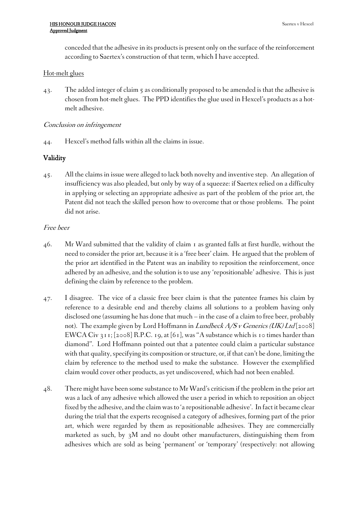conceded that the adhesive in its products is present only on the surface of the reinforcement according to Saertex's construction of that term, which I have accepted.

### Hot-melt glues

43. The added integer of claim 5 as conditionally proposed to be amended is that the adhesive is chosen from hot-melt glues. The PPD identifies the glue used in Hexcel's products as a hotmelt adhesive.

### *Conclusion on infringement*

44. Hexcel's method falls within all the claims in issue.

# **Validity**

45. All the claims in issue were alleged to lack both novelty and inventive step. An allegation of insufficiency was also pleaded, but only by way of a squeeze: if Saertex relied on a difficulty in applying or selecting an appropriate adhesive as part of the problem of the prior art, the Patent did not teach the skilled person how to overcome that or those problems. The point did not arise.

### *Free beer*

- 46. Mr Ward submitted that the validity of claim 1 as granted falls at first hurdle, without the need to consider the prior art, because it is a 'free beer' claim. He argued that the problem of the prior art identified in the Patent was an inability to reposition the reinforcement, once adhered by an adhesive, and the solution is to use any 'repositionable' adhesive. This is just defining the claim by reference to the problem.
- 47. I disagree. The vice of a classic free beer claim is that the patentee frames his claim by reference to a desirable end and thereby claims all solutions to a problem having only disclosed one (assuming he has done that much – in the case of a claim to free beer, probably not). The example given by Lord Hoffmann in *Lundbeck A/S <sup>v</sup> Generics (UK) Ltd* [2008] EWCA Civ 311; [2008] R.P.C. 19, at [61], was "A substance which is 10 times harder than diamond". Lord Hoffmann pointed out that a patentee could claim a particular substance with that quality, specifying its composition or structure, or, if that can't be done, limiting the claim by reference to the method used to make the substance. However the exemplified claim would cover other products, as yet undiscovered, which had not been enabled.
- 48. There might have been some substance to Mr Ward's criticism if the problem in the prior art was a lack of any adhesive which allowed the user a period in which to reposition an object fixed by the adhesive, and the claim wasto 'a repositionable adhesive'. In fact it became clear during the trial that the experts recognised a category of adhesives, forming part of the prior art, which were regarded by them as repositionable adhesives. They are commercially marketed as such, by 3M and no doubt other manufacturers, distinguishing them from adhesives which are sold as being 'permanent' or 'temporary' (respectively: not allowing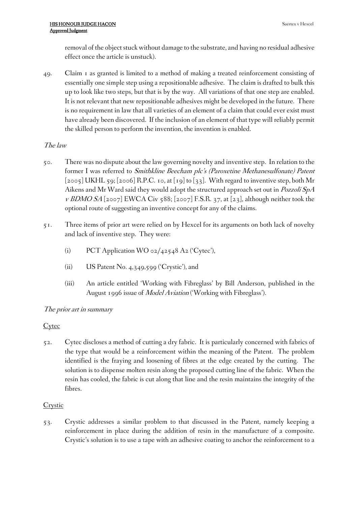removal of the object stuck without damage to the substrate, and having no residual adhesive effect once the article is unstuck).

49. Claim 1 as granted is limited to a method of making a treated reinforcement consisting of essentially one simple step using a repositionable adhesive. The claim is drafted to bulk this up to look like two steps, but that is by the way. All variations of that one step are enabled. It is not relevant that new repositionable adhesives might be developed in the future. There is no requirement in law that all varieties of an element of a claim that could ever exist must have already been discovered. If the inclusion of an element of that type will reliably permit the skilled person to perform the invention, the invention is enabled.

# *The law*

- 50. There was no dispute about the law governing novelty and inventive step. In relation to the former I was referred to *Smithkline Beecham plc's (Paroxetine Methanesulfonate) Patent*  $[2005]$  UKHL 59;  $[2006]$  R.P.C. 10, at  $[19]$  to  $[33]$ . With regard to inventive step, both Mr Aikens and Mr Ward said they would adopt the structured approach set out in *Pozzoli SpA <sup>v</sup> BDMO SA* [2007] EWCA Civ 588; [2007] F.S.R. 37, at [23], although neither took the optional route of suggesting an inventive concept for any of the claims.
- 51. Three items of prior art were relied on by Hexcel for its arguments on both lack of novelty and lack of inventive step. They were:
	- (i) PCT Application WO 02/42548 A2 ('Cytec'),
	- (ii) US Patent No. 4,349,599 ('Crystic'), and
	- (iii) An article entitled 'Working with Fibreglass' by Bill Anderson, published in the August 1996 issue of *Model Aviation* ('Working with Fibreglass').

# *The prior art in summary*

# **Cytec**

52. Cytec discloses a method of cutting a dry fabric. It is particularly concerned with fabrics of the type that would be a reinforcement within the meaning of the Patent. The problem identified is the fraying and loosening of fibres at the edge created by the cutting. The solution is to dispense molten resin along the proposed cutting line of the fabric. When the resin has cooled, the fabric is cut along that line and the resin maintains the integrity of the fibres.

# **Crystic**

53. Crystic addresses a similar problem to that discussed in the Patent, namely keeping a reinforcement in place during the addition of resin in the manufacture of a composite. Crystic's solution is to use a tape with an adhesive coating to anchor the reinforcement to a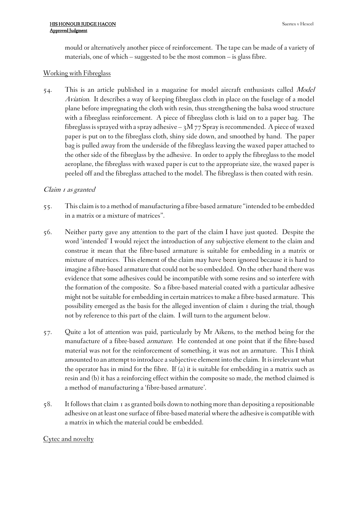mould or alternatively another piece of reinforcement. The tape can be made of a variety of materials, one of which – suggested to be the most common – is glass fibre.

# Working with Fibreglass

54. This is an article published in a magazine for model aircraft enthusiasts called *Model Aviation*. It describes a way of keeping fibreglass cloth in place on the fuselage of a model plane before impregnating the cloth with resin, thus strengthening the balsa wood structure with a fibreglass reinforcement. A piece of fibreglass cloth is laid on to a paper bag. The fibreglass is sprayed with a spray adhesive  $-$  3M 77 Spray is recommended. A piece of waxed paper is put on to the fibreglass cloth, shiny side down, and smoothed by hand. The paper bag is pulled away from the underside of the fibreglass leaving the waxed paper attached to the other side of the fibreglass by the adhesive. In order to apply the fibreglass to the model aeroplane, the fibreglass with waxed paper is cut to the appropriate size, the waxed paper is peeled off and the fibreglass attached to the model. The fibreglass is then coated with resin.

# *Claim <sup>1</sup> as granted*

- 55. This claim isto a method of manufacturing a fibre-based armature "intended to be embedded in a matrix or a mixture of matrices".
- 56. Neither party gave any attention to the part of the claim I have just quoted. Despite the word 'intended' I would reject the introduction of any subjective element to the claim and construe it mean that the fibre-based armature is suitable for embedding in a matrix or mixture of matrices. This element of the claim may have been ignored because it is hard to imagine a fibre-based armature that could not be so embedded. On the other hand there was evidence that some adhesives could be incompatible with some resins and so interfere with the formation of the composite. So a fibre-based material coated with a particular adhesive might not be suitable for embedding in certain matricesto make a fibre-based armature. This possibility emerged as the basis for the alleged invention of claim 1 during the trial, though not by reference to this part of the claim. I will turn to the argument below.
- 57. Quite a lot of attention was paid, particularly by Mr Aikens, to the method being for the manufacture of a fibre-based *armature*. He contended at one point that if the fibre-based material was not for the reinforcement of something, it was not an armature. This I think amounted to an attempt to introduce a subjective element into the claim. It is irrelevant what the operator has in mind for the fibre. If (a) it is suitable for embedding in a matrix such as resin and (b) it has a reinforcing effect within the composite so made, the method claimed is a method of manufacturing a 'fibre-based armature'.
- 58. It followsthat claim 1 as granted boils down to nothing more than depositing a repositionable adhesive on at least one surface of fibre-based material where the adhesive is compatible with a matrix in which the material could be embedded.

# Cytec and novelty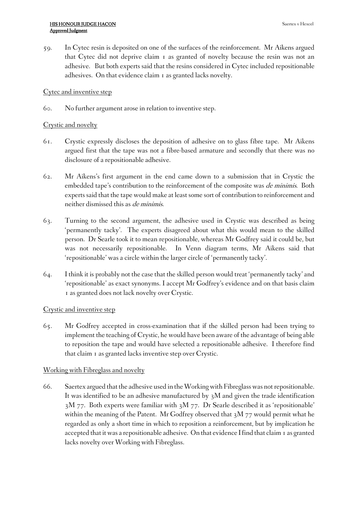59. In Cytec resin is deposited on one of the surfaces of the reinforcement. Mr Aikens argued that Cytec did not deprive claim 1 as granted of novelty because the resin was not an adhesive. But both experts said that the resins considered in Cytec included repositionable adhesives. On that evidence claim 1 as granted lacks novelty.

# Cytec and inventive step

60. No further argument arose in relation to inventive step.

# Crystic and novelty

- 61. Crystic expressly discloses the deposition of adhesive on to glass fibre tape. Mr Aikens argued first that the tape was not a fibre-based armature and secondly that there was no disclosure of a repositionable adhesive.
- 62. Mr Aikens's first argument in the end came down to a submission that in Crystic the embedded tape's contribution to the reinforcement of the composite was *de minimis*. Both experts said that the tape would make at least some sort of contribution to reinforcement and neither dismissed this as *de minimis*.
- 63. Turning to the second argument, the adhesive used in Crystic was described as being 'permanently tacky'. The experts disagreed about what this would mean to the skilled person. Dr Searle took it to mean repositionable, whereas Mr Godfrey said it could be, but was not necessarily repositionable. In Venn diagram terms, Mr Aikens said that 'repositionable' was a circle within the larger circle of 'permanently tacky'.
- 64. I think it is probably not the case that the skilled person would treat 'permanently tacky' and 'repositionable' as exact synonyms. I accept Mr Godfrey's evidence and on that basis claim 1 as granted does not lack novelty over Crystic.

# Crystic and inventive step

65. Mr Godfrey accepted in cross-examination that if the skilled person had been trying to implement the teaching of Crystic, he would have been aware of the advantage of being able to reposition the tape and would have selected a repositionable adhesive. I therefore find that claim 1 as granted lacks inventive step over Crystic.

# Working with Fibreglass and novelty

66. Saertex argued that the adhesive used in theWorkingwith Fibreglasswas notrepositionable. It was identified to be an adhesive manufactured by 3M and given the trade identification 3M 77. Both experts were familiar with 3M 77. Dr Searle described it as 'repositionable' within the meaning of the Patent. Mr Godfrey observed that 3M 77 would permit what he regarded as only a short time in which to reposition a reinforcement, but by implication he accepted that itwas a repositionable adhesive. On that evidence Ifind that claim 1 as granted lacks novelty over Working with Fibreglass.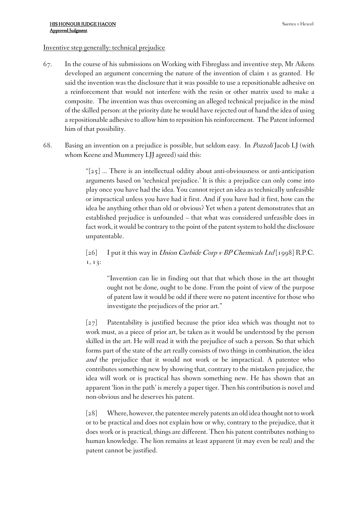#### Inventive step generally: technical prejudice

- 67. In the course of his submissions on Working with Fibreglass and inventive step, Mr Aikens developed an argument concerning the nature of the invention of claim 1 as granted. He said the invention was the disclosure that it was possible to use a repositionable adhesive on a reinforcement that would not interfere with the resin or other matrix used to make a composite. The invention was thus overcoming an alleged technical prejudice in the mind of the skilled person: at the priority date he would have rejected out of hand the idea of using a repositionable adhesive to allow him to reposition his reinforcement. The Patent informed him of that possibility.
- 68. Basing an invention on a prejudice is possible, but seldom easy. In *Pozzoli* Jacob LJ (with whom Keene and Mummery LJJ agreed) said this:

" $[25]$  ... There is an intellectual oddity about anti-obviousness or anti-anticipation arguments based on 'technical prejudice.' It is this: a prejudice can only come into play once you have had the idea. You cannot reject an idea as technically unfeasible or impractical unless you have had it first. And if you have had it first, how can the idea be anything other than old or obvious? Yet when a patent demonstrates that an established prejudice is unfounded – that what was considered unfeasible does in fact work, it would be contrary to the point of the patent system to hold the disclosure unpatentable.

[26] I put it this way in *Union Carbide Corp <sup>v</sup> BP Chemicals Ltd* [1998] R.P.C. 1, 13:

"Invention can lie in finding out that that which those in the art thought ought not be done, ought to be done. From the point of view of the purpose of patent law it would be odd if there were no patent incentive for those who investigate the prejudices of the prior art."

[27] Patentability is justified because the prior idea which was thought not to work must, as a piece of prior art, be taken as it would be understood by the person skilled in the art. He will read it with the prejudice of such a person. So that which forms part of the state of the art really consists of two things in combination, the idea *and* the prejudice that it would not work or be impractical. A patentee who contributes something new by showing that, contrary to the mistaken prejudice, the idea will work or is practical has shown something new. He has shown that an apparent 'lion in the path' is merely a paper tiger. Then his contribution is novel and non-obvious and he deserves his patent.

[28] Where, however, the patentee merely patents an old idea thought not towork or to be practical and does not explain how or why, contrary to the prejudice, that it does work or is practical, things are different. Then his patent contributes nothing to human knowledge. The lion remains at least apparent (it may even be real) and the patent cannot be justified.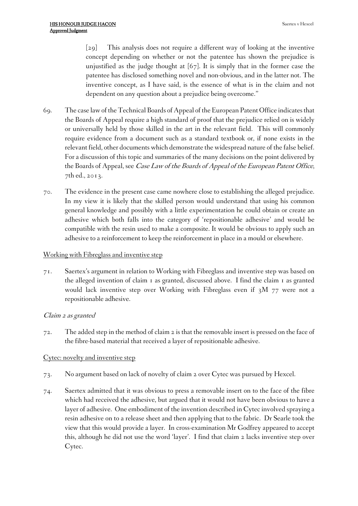[29] This analysis does not require a different way of looking at the inventive concept depending on whether or not the patentee has shown the prejudice is unjustified as the judge thought at [67]. It is simply that in the former case the patentee has disclosed something novel and non-obvious, and in the latter not. The inventive concept, as I have said, is the essence of what is in the claim and not dependent on any question about a prejudice being overcome."

- 69. The case lawof theTechnical Boards ofAppeal of the European Patent Office indicatesthat the Boards of Appeal require a high standard of proof that the prejudice relied on is widely or universally held by those skilled in the art in the relevant field. This will commonly require evidence from a document such as a standard textbook or, if none exists in the relevant field, other documents which demonstrate the widespread nature of the false belief. For a discussion of this topic and summaries of the many decisions on the point delivered by the Boards of Appeal, see *Case Law of the Boards of Appeal of the European Patent Office*, 7th ed., 2013.
- 70. The evidence in the present case came nowhere close to establishing the alleged prejudice. In my view it is likely that the skilled person would understand that using his common general knowledge and possibly with a little experimentation he could obtain or create an adhesive which both falls into the category of 'repositionable adhesive' and would be compatible with the resin used to make a composite. It would be obvious to apply such an adhesive to a reinforcement to keep the reinforcement in place in a mould or elsewhere.

#### Working with Fibreglass and inventive step

71. Saertex's argument in relation to Working with Fibreglass and inventive step was based on the alleged invention of claim 1 as granted, discussed above. I find the claim 1 as granted would lack inventive step over Working with Fibreglass even if 3M 77 were not a repositionable adhesive.

# *Claim <sup>2</sup> as granted*

72. The added step in the method of claim 2 is that the removable insert is pressed on the face of the fibre-based material that received a layer of repositionable adhesive.

# Cytec: novelty and inventive step

- 73. No argument based on lack of novelty of claim 2 over Cytec was pursued by Hexcel.
- 74. Saertex admitted that it was obvious to press a removable insert on to the face of the fibre which had received the adhesive, but argued that it would not have been obvious to have a layer of adhesive. One embodiment of the invention described in Cytec involved spraying a resin adhesive on to a release sheet and then applying that to the fabric. Dr Searle took the view that this would provide a layer. In cross-examination Mr Godfrey appeared to accept this, although he did not use the word 'layer'. I find that claim 2 lacks inventive step over Cytec.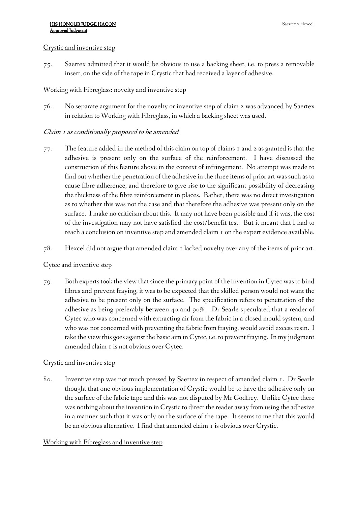#### Crystic and inventive step

75. Saertex admitted that it would be obvious to use a backing sheet, i.e. to press a removable insert, on the side of the tape in Crystic that had received a layer of adhesive.

# Working with Fibreglass: novelty and inventive step

76. No separate argument for the novelty or inventive step of claim 2 was advanced by Saertex in relation to Working with Fibreglass, in which a backing sheet was used.

# *Claim <sup>1</sup> as conditionally proposed to be amended*

- 77. The feature added in the method of this claim on top of claims 1 and 2 as granted is that the adhesive is present only on the surface of the reinforcement. I have discussed the construction of this feature above in the context of infringement. No attempt was made to find out whether the penetration of the adhesive in the three items of prior art was such as to cause fibre adherence, and therefore to give rise to the significant possibility of decreasing the thickness of the fibre reinforcement in places. Rather, there was no direct investigation as to whether this was not the case and that therefore the adhesive was present only on the surface. I make no criticism about this. It may not have been possible and if it was, the cost of the investigation may not have satisfied the cost/benefit test. But it meant that I had to reach a conclusion on inventive step and amended claim 1 on the expert evidence available.
- 78. Hexcel did not argue that amended claim 1 lacked novelty over any of the items of prior art.

# Cytec and inventive step

79. Both experts took the view that since the primary point of the invention in Cytec was to bind fibres and prevent fraying, it was to be expected that the skilled person would not want the adhesive to be present only on the surface. The specification refers to penetration of the adhesive as being preferably between 40 and 90%. Dr Searle speculated that a reader of Cytec who was concerned with extracting air from the fabric in a closed mould system, and who was not concerned with preventing the fabric from fraying, would avoid excess resin. I take the view this goes against the basic aim in Cytec, i.e. to prevent fraying. In my judgment amended claim 1 is not obvious over Cytec.

# Crystic and inventive step

80. Inventive step was not much pressed by Saertex in respect of amended claim 1. Dr Searle thought that one obvious implementation of Crystic would be to have the adhesive only on the surface of the fabric tape and this was not disputed by Mr Godfrey. Unlike Cytec there was nothing about the invention in Crystic to direct the reader away from using the adhesive in a manner such that it was only on the surface of the tape. It seems to me that this would be an obvious alternative. I find that amended claim 1 is obvious over Crystic.

# Working with Fibreglass and inventive step